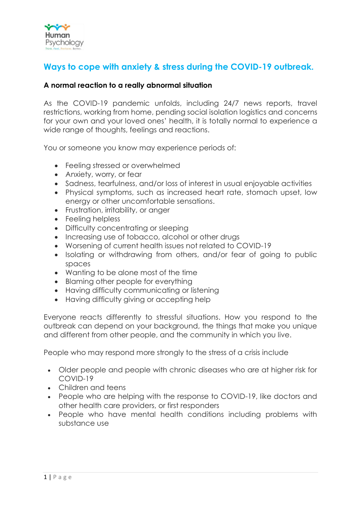

# **Ways to cope with anxiety & stress during the COVID-19 outbreak.**

### **A normal reaction to a really abnormal situation**

As the COVID-19 pandemic unfolds, including 24/7 news reports, travel restrictions, working from home, pending social isolation logistics and concerns for your own and your loved ones' health, it is totally normal to experience a wide range of thoughts, feelings and reactions.

You or someone you know may experience periods of:

- Feeling stressed or overwhelmed
- Anxiety, worry, or fear
- Sadness, tearfulness, and/or loss of interest in usual enjoyable activities
- Physical symptoms, such as increased heart rate, stomach upset, low energy or other uncomfortable sensations.
- Frustration, irritability, or anger
- Feeling helpless
- Difficulty concentrating or sleeping
- Increasing use of tobacco, alcohol or other drugs
- Worsening of current health issues not related to COVID-19
- Isolating or withdrawing from others, and/or fear of going to public spaces
- Wanting to be alone most of the time
- Blaming other people for everything
- Having difficulty communicating or listening
- Having difficulty giving or accepting help

Everyone reacts differently to stressful situations. How you respond to the outbreak can depend on your background, the things that make you unique and different from other people, and the community in which you live.

People who may respond more strongly to the stress of a crisis include

- Older people and people with chronic diseases who are at higher risk for COVID-19
- Children and teens
- People who are helping with the response to COVID-19, like doctors and other health care providers, or first responders
- People who have mental health conditions including problems with substance use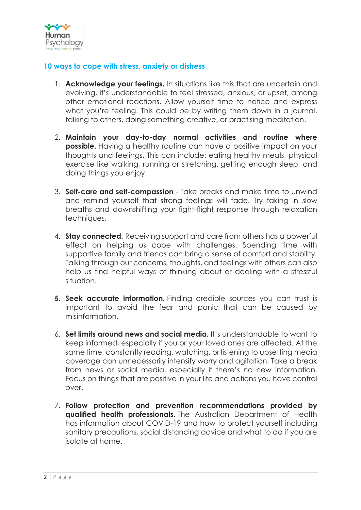

## **10 ways to cope with stress, anxiety or distress**

- 1. **Acknowledge your feelings.** In situations like this that are uncertain and evolving, it's understandable to feel stressed, anxious, or upset, among other emotional reactions. Allow yourself time to notice and express what you're feeling. This could be by writing them down in a journal, talking to others, doing something creative, or [practising meditation.](https://services.unimelb.edu.au/counsel/resources/guided-exercises/mindfulness-and-meditation)
- 2. **Maintain your day-to-day normal activities and routine where possible.** Having a healthy routine can have a positive impact on your thoughts and feelings. This can include: eating healthy meals, physical exercise like walking, running or stretching, [getting enough sleep,](https://www.beyondblue.org.au/get-support/staying-well/sleeping-well) and doing things you enjoy.
- 3. **Self-care and self-compassion**  Take breaks and make time to unwind and remind yourself that strong feelings will fade. Try taking in slow breaths and downshifting your fight-flight response through relaxation techniques.
- 4. **Stay connected.** Receiving support and care from others has a powerful effect on helping us cope with challenges. Spending time with supportive family and friends can bring a sense of comfort and stability. Talking through our concerns, thoughts, and feelings with others can also help us find helpful ways of thinking about or dealing with a stressful situation.
- **5. Seek accurate information.** Finding credible sources you can trust is important to avoid the fear and panic that can be caused by misinformation.
- 6. **Set limits around news and social media.** It's understandable to want to keep informed, especially if you or your loved ones are affected. At the same time, constantly reading, watching, or listening to upsetting media coverage can unnecessarily intensify worry and agitation. Take a break from news or social media, especially if there's no new information. Focus on things that are positive in your life and actions you have control over.
- 7. **Follow protection and prevention recommendations provided by qualified health professionals.** The Australian Department of Health has [information about COVID-19 and how to protect yourself](https://www.health.gov.au/news/health-alerts/novel-coronavirus-2019-ncov-health-alert) including [sanitary precautions, social distancing advice and what to do if you are](https://www.health.gov.au/news/health-alerts/novel-coronavirus-2019-ncov-health-alert)  [isolate at home.](https://www.health.gov.au/news/health-alerts/novel-coronavirus-2019-ncov-health-alert)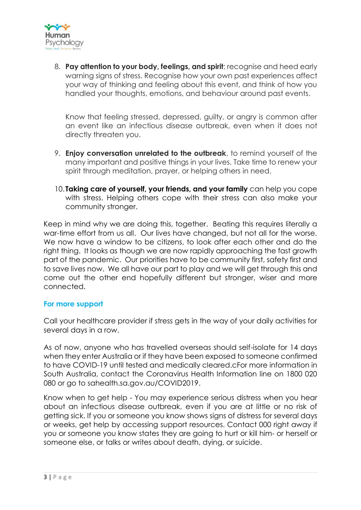

8. **Pay attention to your body, feelings, and spirit**: recognise and heed early warning signs of stress. Recognise how your own past experiences affect your way of thinking and feeling about this event, and think of how you handled your thoughts, emotions, and behaviour around past events.

Know that feeling stressed, depressed, guilty, or angry is common after an event like an infectious disease outbreak, even when it does not directly threaten you.

- 9. **Enjoy conversation unrelated to the outbreak**, to remind yourself of the many important and positive things in your lives. Take time to renew your spirit through meditation, prayer, or helping others in need.
- 10. **Taking care of yourself, your friends, and your family** can help you cope with stress. Helping others cope with their stress can also make your community stronger.

Keep in mind why we are doing this, together. Beating this requires literally a war-time effort from us all. Our lives have changed, but not all for the worse. We now have a window to be citizens, to look after each other and do the right thing. It looks as though we are now rapidly approaching the fast growth part of the pandemic. Our priorities have to be community first, safety first and to save lives now. We all have our part to play and we will get through this and come out the other end hopefully different but stronger, wiser and more connected.

# **For more support**

Call your healthcare provider if stress gets in the way of your daily activities for several days in a row.

As of now, anyone who has travelled overseas should self-isolate for 14 days when they enter Australia or if they have been exposed to someone confirmed to have COVID-19 until tested and medically cleared.cFor more information in South Australia, contact the Coronavirus Health Information line on 1800 020 080 or go to [sahealth.sa.gov.au/COVID2019.](https://www.sahealth.sa.gov.au/wps/wcm/connect/public+content/sa+health+internet/health+topics/health+topics+a+-+z/covid+2019)

Know when to get help - You may experience serious distress when you hear about an infectious disease outbreak, even if you are at little or no risk of getting sick. If you or someone you know shows signs of distress for several days or weeks, get help by accessing support resources. Contact 000 right away if you or someone you know states they are going to hurt or kill him- or herself or someone else, or talks or writes about death, dying, or suicide.